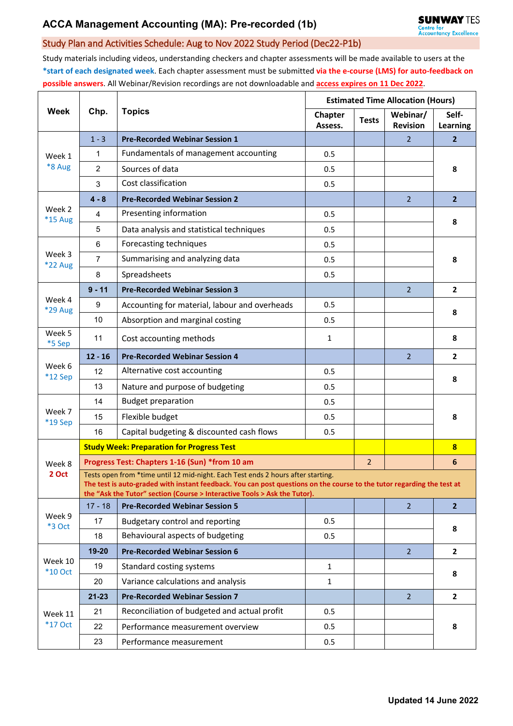## Study Plan and Activities Schedule: Aug to Nov 2022 Study Period (Dec22-P1b)

Study materials including videos, understanding checkers and chapter assessments will be made available to users at the **\*start of each designated week**. Each chapter assessment must be submitted **via the e-course (LMS) for auto-feedback on possible answers**. All Webinar/Revision recordings are not downloadable and **access expires on 11 Dec 2022**.

| <b>Week</b>               | Chp.                                                                                                                                                                                                                                                                                    | <b>Topics</b>                                 | <b>Estimated Time Allocation (Hours)</b> |              |                             |                   |  |  |  |  |
|---------------------------|-----------------------------------------------------------------------------------------------------------------------------------------------------------------------------------------------------------------------------------------------------------------------------------------|-----------------------------------------------|------------------------------------------|--------------|-----------------------------|-------------------|--|--|--|--|
|                           |                                                                                                                                                                                                                                                                                         |                                               | <b>Chapter</b><br>Assess.                | <b>Tests</b> | Webinar/<br><b>Revision</b> | Self-<br>Learning |  |  |  |  |
| Week 1<br>*8 Aug          | $1 - 3$                                                                                                                                                                                                                                                                                 | <b>Pre-Recorded Webinar Session 1</b>         |                                          |              | $\overline{2}$              | $\mathbf{2}$      |  |  |  |  |
|                           | 1                                                                                                                                                                                                                                                                                       | Fundamentals of management accounting         | 0.5                                      |              |                             | 8                 |  |  |  |  |
|                           | $\overline{2}$                                                                                                                                                                                                                                                                          | Sources of data                               | 0.5                                      |              |                             |                   |  |  |  |  |
|                           | 3                                                                                                                                                                                                                                                                                       | Cost classification                           | 0.5                                      |              |                             |                   |  |  |  |  |
| Week 2<br><b>*15 Aug</b>  | $4 - 8$                                                                                                                                                                                                                                                                                 | <b>Pre-Recorded Webinar Session 2</b>         |                                          |              | 2 <sup>1</sup>              | 2 <sup>2</sup>    |  |  |  |  |
|                           | 4                                                                                                                                                                                                                                                                                       | Presenting information                        | 0.5                                      |              |                             | 8                 |  |  |  |  |
|                           | 5                                                                                                                                                                                                                                                                                       | Data analysis and statistical techniques      | 0.5                                      |              |                             |                   |  |  |  |  |
| Week 3<br>*22 Aug         | 6                                                                                                                                                                                                                                                                                       | Forecasting techniques                        | 0.5                                      |              |                             | 8                 |  |  |  |  |
|                           | 7                                                                                                                                                                                                                                                                                       | Summarising and analyzing data                | 0.5                                      |              |                             |                   |  |  |  |  |
|                           | 8                                                                                                                                                                                                                                                                                       | Spreadsheets                                  | 0.5                                      |              |                             |                   |  |  |  |  |
|                           | $9 - 11$                                                                                                                                                                                                                                                                                | <b>Pre-Recorded Webinar Session 3</b>         |                                          |              | $\overline{2}$              | $\overline{2}$    |  |  |  |  |
| Week 4<br>*29 Aug         | 9                                                                                                                                                                                                                                                                                       | Accounting for material, labour and overheads | 0.5                                      |              |                             | 8                 |  |  |  |  |
|                           | 10                                                                                                                                                                                                                                                                                      | Absorption and marginal costing               | 0.5                                      |              |                             |                   |  |  |  |  |
| Week 5<br>*5 Sep          | 11                                                                                                                                                                                                                                                                                      | Cost accounting methods                       | $\mathbf{1}$                             |              |                             | 8                 |  |  |  |  |
| Week 6<br>$*12$ Sep       | $12 - 16$                                                                                                                                                                                                                                                                               | <b>Pre-Recorded Webinar Session 4</b>         |                                          |              | $\overline{2}$              | $\mathbf{2}$      |  |  |  |  |
|                           | 12                                                                                                                                                                                                                                                                                      | Alternative cost accounting                   | 0.5                                      |              |                             | 8                 |  |  |  |  |
|                           | 13                                                                                                                                                                                                                                                                                      | Nature and purpose of budgeting               | 0.5                                      |              |                             |                   |  |  |  |  |
|                           | 14                                                                                                                                                                                                                                                                                      | <b>Budget preparation</b>                     | 0.5                                      |              |                             | 8                 |  |  |  |  |
| Week 7<br>*19 Sep         | 15                                                                                                                                                                                                                                                                                      | Flexible budget                               | 0.5                                      |              |                             |                   |  |  |  |  |
|                           | 16                                                                                                                                                                                                                                                                                      | Capital budgeting & discounted cash flows     | 0.5                                      |              |                             |                   |  |  |  |  |
|                           | <b>Study Week: Preparation for Progress Test</b>                                                                                                                                                                                                                                        |                                               |                                          |              |                             | 8                 |  |  |  |  |
| Week 8                    | Progress Test: Chapters 1-16 (Sun) *from 10 am                                                                                                                                                                                                                                          |                                               |                                          |              |                             | $6\phantom{a}$    |  |  |  |  |
| 2 Oct                     | Tests open from *time until 12 mid-night. Each Test ends 2 hours after starting.<br>The test is auto-graded with instant feedback. You can post questions on the course to the tutor regarding the test at<br>the "Ask the Tutor" section (Course > Interactive Tools > Ask the Tutor). |                                               |                                          |              |                             |                   |  |  |  |  |
| Week 9<br><b>*3 Oct</b>   | $17 - 18$                                                                                                                                                                                                                                                                               | <b>Pre-Recorded Webinar Session 5</b>         |                                          |              | 2 <sup>1</sup>              | 2 <sup>1</sup>    |  |  |  |  |
|                           | 17                                                                                                                                                                                                                                                                                      | Budgetary control and reporting               | 0.5                                      |              |                             | 8                 |  |  |  |  |
|                           | 18                                                                                                                                                                                                                                                                                      | Behavioural aspects of budgeting              | 0.5                                      |              |                             |                   |  |  |  |  |
| Week 10<br>*10 Oct        | $19 - 20$                                                                                                                                                                                                                                                                               | <b>Pre-Recorded Webinar Session 6</b>         |                                          |              | $\overline{2}$              | $\overline{2}$    |  |  |  |  |
|                           | 19                                                                                                                                                                                                                                                                                      | Standard costing systems                      | $\mathbf{1}$                             |              |                             | 8                 |  |  |  |  |
|                           | 20                                                                                                                                                                                                                                                                                      | Variance calculations and analysis            | $\mathbf{1}$                             |              |                             |                   |  |  |  |  |
| Week 11<br><b>*17 Oct</b> | $21 - 23$                                                                                                                                                                                                                                                                               | <b>Pre-Recorded Webinar Session 7</b>         |                                          |              | $\overline{2}$              | $\mathbf{2}$      |  |  |  |  |
|                           | 21                                                                                                                                                                                                                                                                                      | Reconciliation of budgeted and actual profit  | 0.5                                      |              |                             | 8                 |  |  |  |  |
|                           | 22                                                                                                                                                                                                                                                                                      | Performance measurement overview              | 0.5                                      |              |                             |                   |  |  |  |  |
|                           | 23                                                                                                                                                                                                                                                                                      | Performance measurement                       | 0.5                                      |              |                             |                   |  |  |  |  |